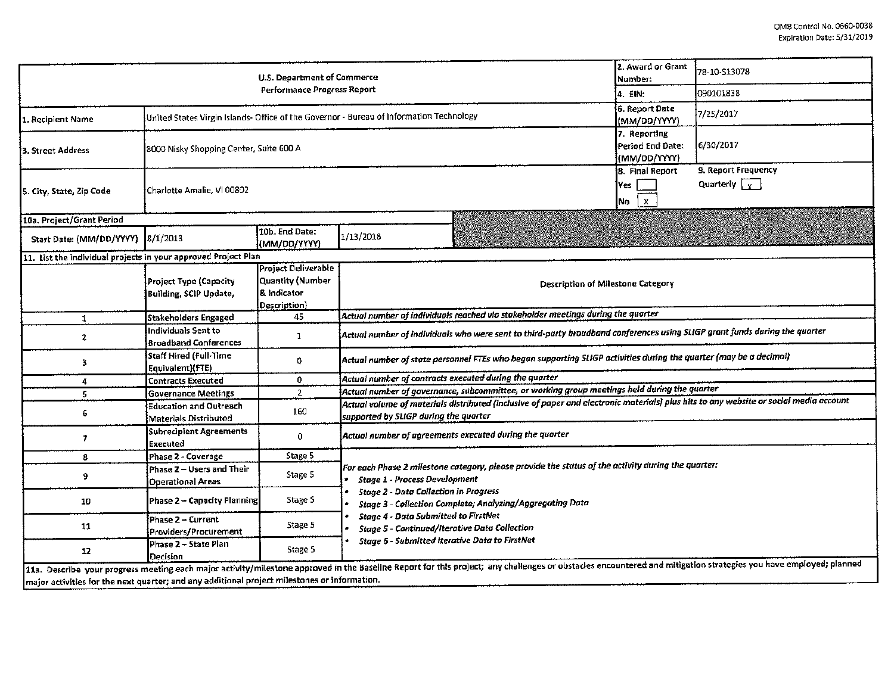|                                                                                              | U.S. Department of Commerce                                                             | 2. Award or Grant<br>Number:                                                  | 78-10-513078                                                                                                                                                                                                     |                                             |  |  |  |  |  |  |  |
|----------------------------------------------------------------------------------------------|-----------------------------------------------------------------------------------------|-------------------------------------------------------------------------------|------------------------------------------------------------------------------------------------------------------------------------------------------------------------------------------------------------------|---------------------------------------------|--|--|--|--|--|--|--|
|                                                                                              |                                                                                         | 4. EIN:                                                                       | 090101838                                                                                                                                                                                                        |                                             |  |  |  |  |  |  |  |
| 1. Recipient Name                                                                            | United States Virgin Islands- Office of the Governor - Bureau of Information Technology |                                                                               | 6. Report Date<br>(MM/DD/YYYY)                                                                                                                                                                                   | 7/25/2017                                   |  |  |  |  |  |  |  |
| 3. Street Address                                                                            | 8000 Nisky Shopping Center, Suite 600 A                                                 |                                                                               | 7. Reporting<br>Period End Date:<br>{(MM/DD/YYYY)                                                                                                                                                                | 6/30/2017                                   |  |  |  |  |  |  |  |
| 5. City, State, Zip Code                                                                     | Charlotte Amalie, VI 00802                                                              |                                                                               | 8. Final Report<br>Yes<br>$\mathbf x$<br>Mo)                                                                                                                                                                     | 9. Report Frequency<br>Quarterly $\sqrt{x}$ |  |  |  |  |  |  |  |
| 10a. Project/Grant Period                                                                    |                                                                                         |                                                                               |                                                                                                                                                                                                                  |                                             |  |  |  |  |  |  |  |
| Start Date: (MM/DD/YYYY)                                                                     | 8/1/2013                                                                                | 10b. End Date:<br>(MM/DD/YYYY)                                                | 1/13/2018                                                                                                                                                                                                        |                                             |  |  |  |  |  |  |  |
| 11. List the individual projects in your approved Project Plan                               |                                                                                         |                                                                               |                                                                                                                                                                                                                  |                                             |  |  |  |  |  |  |  |
|                                                                                              | Project Type (Capacity<br>Building, SCIP Update,                                        | <b>Project Deliverable</b><br>Quantity (Number<br>& Indicator<br>(Description | <b>Description of Milestone Category</b>                                                                                                                                                                         |                                             |  |  |  |  |  |  |  |
| $\mathbf{1}$                                                                                 | Stakeholders Engaged                                                                    | 45                                                                            | Actual number of individuals reached via stakeholder meetings during the quarter                                                                                                                                 |                                             |  |  |  |  |  |  |  |
| $\mathbf{2}$                                                                                 | Individuals Sent to<br><b>Broadband Conferences</b>                                     | ı                                                                             | Actual number of individuals who were sent to third-party broudband conferences using SLIGP grant funds during the quarter                                                                                       |                                             |  |  |  |  |  |  |  |
| 3                                                                                            | Staff Hired (Full-Time<br>Equivalent)(FTE)                                              | 0.                                                                            | Actual number of state personnel FTEs who began supporting SLIGP activities during the quarter (may be a decimal)                                                                                                |                                             |  |  |  |  |  |  |  |
| 4                                                                                            | Contracts Executed                                                                      | 0                                                                             | Actual number of contracts executed during the quarter                                                                                                                                                           |                                             |  |  |  |  |  |  |  |
| 5.                                                                                           | <b>Governance Meetings</b>                                                              | $\overline{2}$                                                                | Actual number of governance, subcommittee, or working group meetings held during the quarter                                                                                                                     |                                             |  |  |  |  |  |  |  |
| 6.                                                                                           | Education and Outreach<br>Materials Distributed                                         | 160                                                                           | Actual volume of materials distributed (inclusive of paper and electronic materials) plus hits to any website or social media account<br>supported by SLIGP during the quarter                                   |                                             |  |  |  |  |  |  |  |
| 7                                                                                            | Subrecipient Agreements<br>Executed                                                     | 0                                                                             | Actual number of agreements executed during the quarter                                                                                                                                                          |                                             |  |  |  |  |  |  |  |
| 8                                                                                            | Phase 2 - Coverage                                                                      | Stage 5                                                                       |                                                                                                                                                                                                                  |                                             |  |  |  |  |  |  |  |
| 9                                                                                            | Phase 2 - Users and Their<br><b>Operational Areas</b>                                   | Stage 5                                                                       | For each Phase 2 milestone category, please provide the status of the activity during the quarter:<br><b>Stage 1 - Process Development</b>                                                                       |                                             |  |  |  |  |  |  |  |
| 10                                                                                           | Phase 2 - Capacity Planning                                                             | Stage 5                                                                       | <b>Stage 2 - Data Collection in Progress</b><br><b>Stage 3 - Collection Complete; Analyzing/Aggregating Data</b>                                                                                                 |                                             |  |  |  |  |  |  |  |
| 11                                                                                           | Phase 2 - Current<br>Providers/Procurement                                              | Stage 5                                                                       | <b>Stage 4 - Data Submitted to FirstNet</b><br><b>Stage 5 - Continued/Iterative Data Collection</b>                                                                                                              |                                             |  |  |  |  |  |  |  |
| 12                                                                                           | Phase 2 - State Plan<br>Decision                                                        | Stage 5                                                                       | <b>Stage 6 - Submitted Iterative Data to FirstNet</b>                                                                                                                                                            |                                             |  |  |  |  |  |  |  |
| major activities for the next quarter; and any additional project milestones or information. |                                                                                         |                                                                               | 11a. Describe your progress meeting each major activity/milestone approved in the Baseline Report for this project; any challenges or obstacles encountered and mitigation strategies you have employed; planned |                                             |  |  |  |  |  |  |  |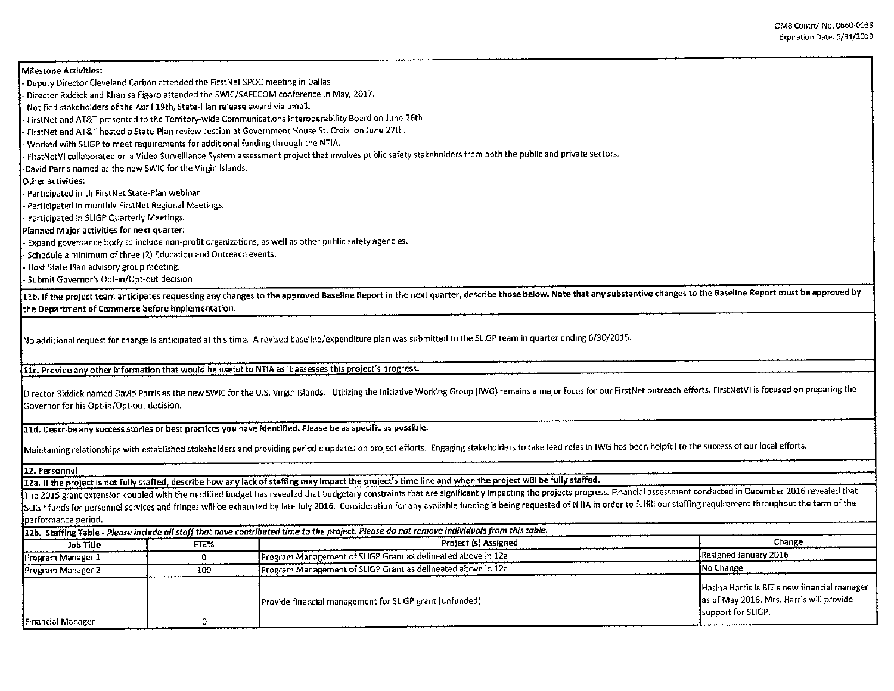Milestone Activities: - Deputy Director Cleveland Carbon attended the FirstNet SPOC meeting in Dallas - Director Riddick and Khanisa Figaro attended the SWIC/SAFECOM conference in May, 2017. - Notified stakeholders of the April 19th, State-Plan release award via email. - firstNet and AT&T presented to the Territory-wide Communications lnteroperabl\ity Board on June 26th. - firstNet and AT&T hosted a State-Plan review session at Government House St. Croix on June 27th. - Worked with SLIGP to meet requirements for additional funding through the NTIA. - FirstNetVI collaborated on a Video Surveillance System assessment project that involves public safety stakeholders from both the public and private sectors. -David Parris named as the new SWIC for the Virgin Islands. Other activities: - Participated in th First Net State-Plan webinar - Participated in monthly FirstNet Regional Meetings. - Participated in SLIGP Quarterly Meetings. Planned Major activities for next quarter: - Expand governance body to include non-profit organliations, as well as other public safety agencies. - Schedule a minimum of three {2) Education and Outreach events. - Host State Plan advisory group meeting. - Submit Governor's Opt-in/Opt-out decision 11b. If the project team anticipates requesting any changes to the approved Baseline Report in the next quarter, describe those below. Note that any substantive changes to the Baseline Report must be approved by the Department of Commerce before implementation. No additional request for change is anticipated at this time. A revised baseline/expenditure plan was submitted to the SLIGP team in quarter ending 6/30/2015. llc. Provide any other Information that would be useful to NT1A as lt assesses this project's progress. Director Riddick named David Parris as the new SWIC for the U.S. Virgin Islands. Utilizing the Initiative Working Group (IWG) remains a major focus for our FirstNet outreach efforts. FirstNetVI is focused on preparing the Governor for his Opt-in/Opt-out decision. 11d. Describe any success stories or best practices you have identified. Please be as specific as posslble. Maintaining relationships with established stakeholders and providing periodic updates on project efforts. Engaging stakeholders to take lead roles in IWG has been helpful to the success of our local efforts. 12. Personnel 12a. If the project is not fully staffed, describe how any lack of staffing may impact the project's time line and when the project will be fully staffed. The 2015 grant extension coupled with the modified budget has revealed that budgetary constraints that are significantly impacting the projects progress. Financial assessment conducted in December 2016 revealed that SLIGP funds for personnel services and fringes will be exhausted by late July 2016. Consideration for any available funding is being requested of NTIA in order to fulfill our staffing requirement throughout the term of the performance period. 12b. Staffing Table - *Please in dude all* stoff thot *have contributed time* to *the project. Please da nat remove individuals from this table.*  Job Title **FREX** FTEX FTE RESOLUTION Project (s) Assigned Program Manager 1 0 0 Program Management of SLIGP Grant as delineated above in 12a Resigned January 2016<br>Program Manager 2 100 Program Management of SLIGP Grant as delineated above in 12a Resigned January 2016 Program Manager 2 100 100 Program Management of SLIGP Grant as delineated above in 12a Hasina Harris is 61T's new financial manager Provide financial management for SLIGP grant (unfunded) and as a set May 2016. Mrs. Harris will provide support for SLIGP. **Financial Manager 1 1 1 1 1 1 1 1 1**